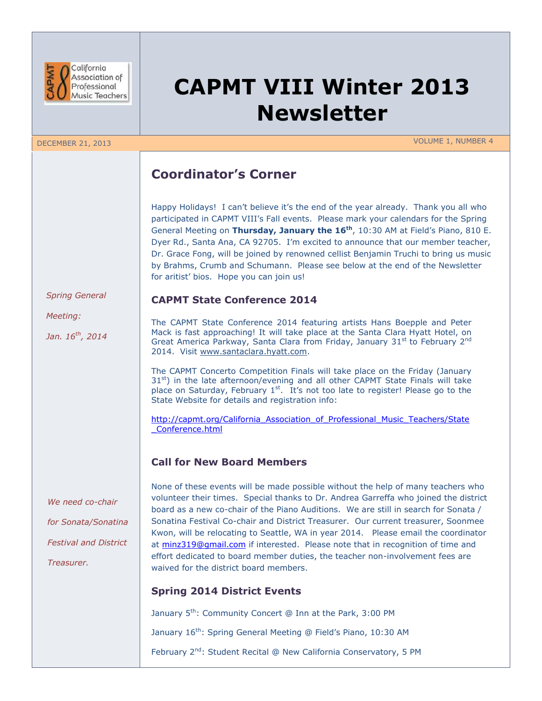

# **CAPMT VIII Winter 2013 Newsletter**

DECEMBER 21, 2013 VOLUME 1, NUMBER 4

# **Coordinator's Corner**

**CAPMT State Conference 2014**

Happy Holidays! I can't believe it's the end of the year already. Thank you all who participated in CAPMT VIII's Fall events. Please mark your calendars for the Spring General Meeting on **Thursday, January the 16th**, 10:30 AM at Field's Piano, 810 E. Dyer Rd., Santa Ana, CA 92705. I'm excited to announce that our member teacher, Dr. Grace Fong, will be joined by renowned cellist Benjamin Truchi to bring us music by Brahms, Crumb and Schumann. Please see below at the end of the Newsletter for aritist' bios. Hope you can join us!

 *Spring General*

 *Meeting:*

 *Jan. 16th, 2014*

The CAPMT State Conference 2014 featuring artists Hans Boepple and Peter Mack is fast approaching! It will take place at the Santa Clara Hyatt Hotel, on Great America Parkway, Santa Clara from Friday, January 31<sup>st</sup> to February 2<sup>nd</sup> 2014. Visit [www.santaclara.hyatt.com.](http://www.santaclara.hyatt.com/)

The CAPMT Concerto Competition Finals will take place on the Friday (January  $31<sup>st</sup>$ ) in the late afternoon/evening and all other CAPMT State Finals will take place on Saturday, February  $1<sup>st</sup>$ . It's not too late to register! Please go to the State Website for details and registration info:

[http://capmt.org/California\\_Association\\_of\\_Professional\\_Music\\_Teachers/State](http://capmt.org/California_Association_of_Professional_Music_Teachers/State_Conference.html) [\\_Conference.html](http://capmt.org/California_Association_of_Professional_Music_Teachers/State_Conference.html)

# **Call for New Board Members**

*We need co-chair for Sonata/Sonatina Festival and District Treasurer.*

None of these events will be made possible without the help of many teachers who volunteer their times. Special thanks to Dr. Andrea Garreffa who joined the district board as a new co-chair of the Piano Auditions. We are still in search for Sonata / Sonatina Festival Co-chair and District Treasurer. Our current treasurer, Soonmee Kwon, will be relocating to Seattle, WA in year 2014. Please email the coordinator at [minz319@gmail.com](mailto:minz319@gmail.com) if interested. Please note that in recognition of time and effort dedicated to board member duties, the teacher non-involvement fees are waived for the district board members.

# **Spring 2014 District Events**

January 5<sup>th</sup>: Community Concert @ Inn at the Park, 3:00 PM

January 16<sup>th</sup>: Spring General Meeting @ Field's Piano, 10:30 AM

February 2<sup>nd</sup>: Student Recital @ New California Conservatory, 5 PM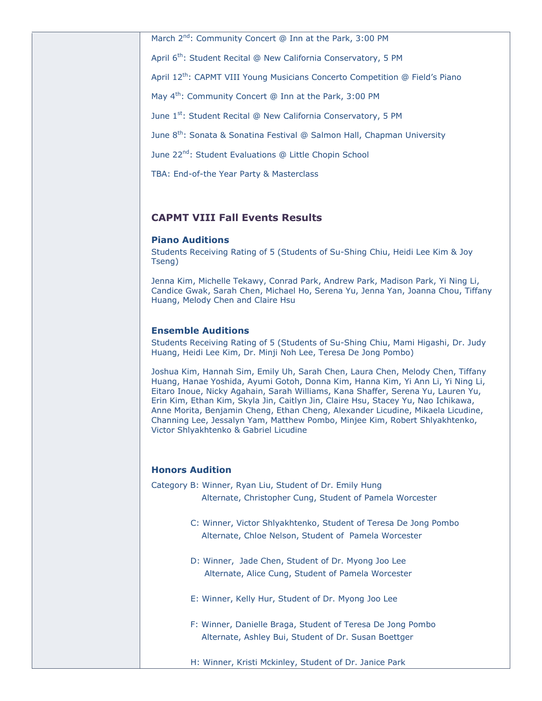March 2<sup>nd</sup>: Community Concert @ Inn at the Park, 3:00 PM

April 6<sup>th</sup>: Student Recital @ New California Conservatory, 5 PM

April 12<sup>th</sup>: CAPMT VIII Young Musicians Concerto Competition @ Field's Piano

May  $4<sup>th</sup>$ : Community Concert @ Inn at the Park, 3:00 PM

June 1<sup>st</sup>: Student Recital @ New California Conservatory, 5 PM

June 8<sup>th</sup>: Sonata & Sonatina Festival @ Salmon Hall, Chapman University

June 22<sup>nd</sup>: Student Evaluations @ Little Chopin School

TBA: End-of-the Year Party & Masterclass

### **CAPMT VIII Fall Events Results**

### **Piano Auditions**

Students Receiving Rating of 5 (Students of Su-Shing Chiu, Heidi Lee Kim & Joy Tseng)

Jenna Kim, Michelle Tekawy, Conrad Park, Andrew Park, Madison Park, Yi Ning Li, Candice Gwak, Sarah Chen, Michael Ho, Serena Yu, Jenna Yan, Joanna Chou, Tiffany Huang, Melody Chen and Claire Hsu

## **Ensemble Auditions**

Students Receiving Rating of 5 (Students of Su-Shing Chiu, Mami Higashi, Dr. Judy Huang, Heidi Lee Kim, Dr. Minji Noh Lee, Teresa De Jong Pombo)

Joshua Kim, Hannah Sim, Emily Uh, Sarah Chen, Laura Chen, Melody Chen, Tiffany Huang, Hanae Yoshida, Ayumi Gotoh, Donna Kim, Hanna Kim, Yi Ann Li, Yi Ning Li, Eitaro Inoue, Nicky Agahain, Sarah Williams, Kana Shaffer, Serena Yu, Lauren Yu, Erin Kim, Ethan Kim, Skyla Jin, Caitlyn Jin, Claire Hsu, Stacey Yu, Nao Ichikawa, Anne Morita, Benjamin Cheng, Ethan Cheng, Alexander Licudine, Mikaela Licudine, Channing Lee, Jessalyn Yam, Matthew Pombo, Minjee Kim, Robert Shlyakhtenko, Victor Shlyakhtenko & Gabriel Licudine

#### **Honors Audition**

Category B: Winner, Ryan Liu, Student of Dr. Emily Hung

Alternate, Christopher Cung, Student of Pamela Worcester

- C: Winner, Victor Shlyakhtenko, Student of Teresa De Jong Pombo Alternate, Chloe Nelson, Student of Pamela Worcester
- D: Winner, Jade Chen, Student of Dr. Myong Joo Lee Alternate, Alice Cung, Student of Pamela Worcester
- E: Winner, Kelly Hur, Student of Dr. Myong Joo Lee
- F: Winner, Danielle Braga, Student of Teresa De Jong Pombo Alternate, Ashley Bui, Student of Dr. Susan Boettger
- H: Winner, Kristi Mckinley, Student of Dr. Janice Park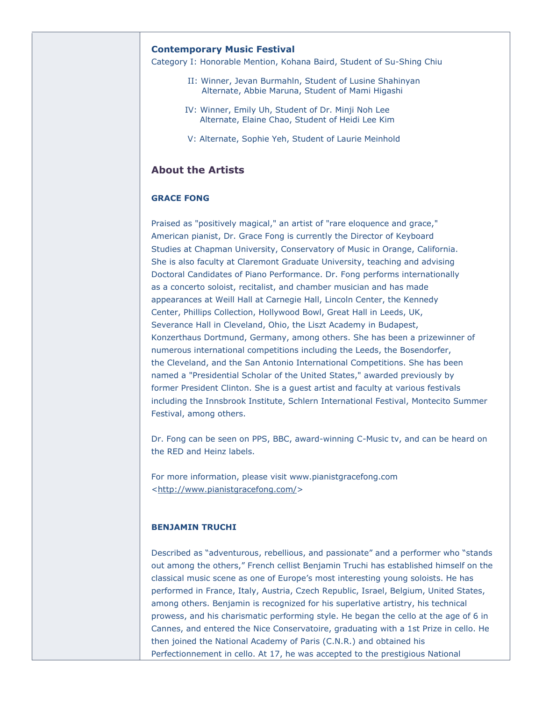#### **Contemporary Music Festival**

Category I: Honorable Mention, Kohana Baird, Student of Su-Shing Chiu

- II: Winner, Jevan Burmahln, Student of Lusine Shahinyan Alternate, Abbie Maruna, Student of Mami Higashi
- IV: Winner, Emily Uh, Student of Dr. Minji Noh Lee Alternate, Elaine Chao, Student of Heidi Lee Kim
- V: Alternate, Sophie Yeh, Student of Laurie Meinhold

### **About the Artists**

#### **GRACE FONG**

Praised as "positively magical," an artist of "rare eloquence and grace," American pianist, Dr. Grace Fong is currently the Director of Keyboard Studies at Chapman University, Conservatory of Music in Orange, California. She is also faculty at Claremont Graduate University, teaching and advising Doctoral Candidates of Piano Performance. Dr. Fong performs internationally as a concerto soloist, recitalist, and chamber musician and has made appearances at Weill Hall at Carnegie Hall, Lincoln Center, the Kennedy Center, Phillips Collection, Hollywood Bowl, Great Hall in Leeds, UK, Severance Hall in Cleveland, Ohio, the Liszt Academy in Budapest, Konzerthaus Dortmund, Germany, among others. She has been a prizewinner of numerous international competitions including the Leeds, the Bosendorfer, the Cleveland, and the San Antonio International Competitions. She has been named a "Presidential Scholar of the United States," awarded previously by former President Clinton. She is a guest artist and faculty at various festivals including the Innsbrook Institute, Schlern International Festival, Montecito Summer Festival, among others.

Dr. Fong can be seen on PPS, BBC, award-winning C-Music tv, and can be heard on the RED and Heinz labels.

For more information, please visit www.pianistgracefong.com [<http://www.pianistgracefong.com/>](http://www.pianistgracefong.com/)

#### **BENJAMIN TRUCHI**

Described as "adventurous, rebellious, and passionate" and a performer who "stands out among the others," French cellist Benjamin Truchi has established himself on the classical music scene as one of Europe's most interesting young soloists. He has performed in France, Italy, Austria, Czech Republic, Israel, Belgium, United States, among others. Benjamin is recognized for his superlative artistry, his technical prowess, and his charismatic performing style. He began the cello at the age of 6 in Cannes, and entered the Nice Conservatoire, graduating with a 1st Prize in cello. He then joined the National Academy of Paris (C.N.R.) and obtained his Perfectionnement in cello. At 17, he was accepted to the prestigious National